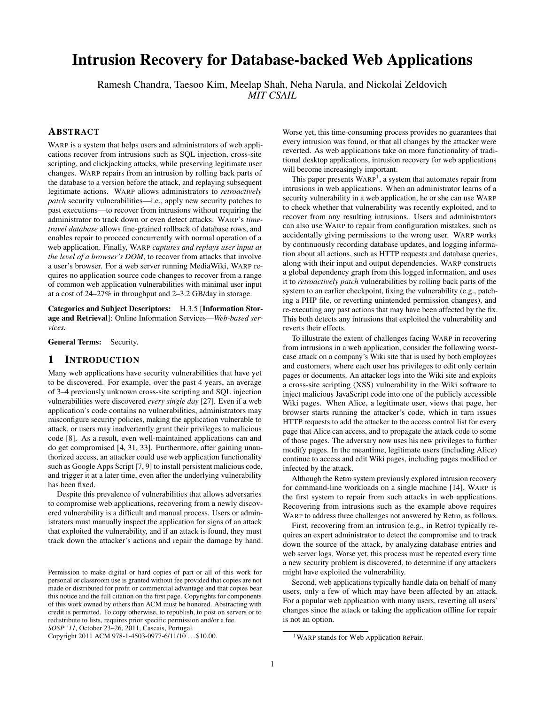# Intrusion Recovery for Database-backed Web Applications

Ramesh Chandra, Taesoo Kim, Meelap Shah, Neha Narula, and Nickolai Zeldovich *MIT CSAIL*

# ABSTRACT

WARP is a system that helps users and administrators of web applications recover from intrusions such as SQL injection, cross-site scripting, and clickjacking attacks, while preserving legitimate user changes. WARP repairs from an intrusion by rolling back parts of the database to a version before the attack, and replaying subsequent legitimate actions. WARP allows administrators to *retroactively patch* security vulnerabilities—i.e., apply new security patches to past executions—to recover from intrusions without requiring the administrator to track down or even detect attacks. WARP's *timetravel database* allows fine-grained rollback of database rows, and enables repair to proceed concurrently with normal operation of a web application. Finally, WARP *captures and replays user input at the level of a browser's DOM*, to recover from attacks that involve a user's browser. For a web server running MediaWiki, WARP requires no application source code changes to recover from a range of common web application vulnerabilities with minimal user input at a cost of 24–27% in throughput and 2–3.2 GB/day in storage.

Categories and Subject Descriptors: H.3.5 [Information Storage and Retrieval]: Online Information Services—*Web-based services.*

General Terms: Security.

## <span id="page-0-1"></span>1 INTRODUCTION

Many web applications have security vulnerabilities that have yet to be discovered. For example, over the past 4 years, an average of 3–4 previously unknown cross-site scripting and SQL injection vulnerabilities were discovered *every single day* [\[27\]](#page-13-0). Even if a web application's code contains no vulnerabilities, administrators may misconfigure security policies, making the application vulnerable to attack, or users may inadvertently grant their privileges to malicious code [\[8\]](#page-13-1). As a result, even well-maintained applications can and do get compromised [\[4,](#page-13-2) [31,](#page-13-3) [33\]](#page-13-4). Furthermore, after gaining unauthorized access, an attacker could use web application functionality such as Google Apps Script [\[7,](#page-13-5) [9\]](#page-13-6) to install persistent malicious code, and trigger it at a later time, even after the underlying vulnerability has been fixed.

Despite this prevalence of vulnerabilities that allows adversaries to compromise web applications, recovering from a newly discovered vulnerability is a difficult and manual process. Users or administrators must manually inspect the application for signs of an attack that exploited the vulnerability, and if an attack is found, they must track down the attacker's actions and repair the damage by hand.

Copyright 2011 ACM 978-1-4503-0977-6/11/10 . . . \$10.00.

Worse yet, this time-consuming process provides no guarantees that every intrusion was found, or that all changes by the attacker were reverted. As web applications take on more functionality of traditional desktop applications, intrusion recovery for web applications will become increasingly important.

This paper presents  $WARP<sup>1</sup>$  $WARP<sup>1</sup>$  $WARP<sup>1</sup>$ , a system that automates repair from intrusions in web applications. When an administrator learns of a security vulnerability in a web application, he or she can use WARP to check whether that vulnerability was recently exploited, and to recover from any resulting intrusions. Users and administrators can also use WARP to repair from configuration mistakes, such as accidentally giving permissions to the wrong user. WARP works by continuously recording database updates, and logging information about all actions, such as HTTP requests and database queries, along with their input and output dependencies. WARP constructs a global dependency graph from this logged information, and uses it to *retroactively patch* vulnerabilities by rolling back parts of the system to an earlier checkpoint, fixing the vulnerability (e.g., patching a PHP file, or reverting unintended permission changes), and re-executing any past actions that may have been affected by the fix. This both detects any intrusions that exploited the vulnerability and reverts their effects.

To illustrate the extent of challenges facing WARP in recovering from intrusions in a web application, consider the following worstcase attack on a company's Wiki site that is used by both employees and customers, where each user has privileges to edit only certain pages or documents. An attacker logs into the Wiki site and exploits a cross-site scripting (XSS) vulnerability in the Wiki software to inject malicious JavaScript code into one of the publicly accessible Wiki pages. When Alice, a legitimate user, views that page, her browser starts running the attacker's code, which in turn issues HTTP requests to add the attacker to the access control list for every page that Alice can access, and to propagate the attack code to some of those pages. The adversary now uses his new privileges to further modify pages. In the meantime, legitimate users (including Alice) continue to access and edit Wiki pages, including pages modified or infected by the attack.

Although the Retro system previously explored intrusion recovery for command-line workloads on a single machine [\[14\]](#page-13-7), WARP is the first system to repair from such attacks in web applications. Recovering from intrusions such as the example above requires WARP to address three challenges not answered by Retro, as follows.

First, recovering from an intrusion (e.g., in Retro) typically requires an expert administrator to detect the compromise and to track down the source of the attack, by analyzing database entries and web server logs. Worse yet, this process must be repeated every time a new security problem is discovered, to determine if any attackers might have exploited the vulnerability.

Second, web applications typically handle data on behalf of many users, only a few of which may have been affected by an attack. For a popular web application with many users, reverting all users' changes since the attack or taking the application offline for repair is not an option.

Permission to make digital or hard copies of part or all of this work for personal or classroom use is granted without fee provided that copies are not made or distributed for profit or commercial advantage and that copies bear this notice and the full citation on the first page. Copyrights for components of this work owned by others than ACM must be honored. Abstracting with credit is permitted. To copy otherwise, to republish, to post on servers or to redistribute to lists, requires prior specific permission and/or a fee. *SOSP '11,* October 23–26, 2011, Cascais, Portugal.

<span id="page-0-0"></span><sup>1</sup>WARP stands for Web Application RePair.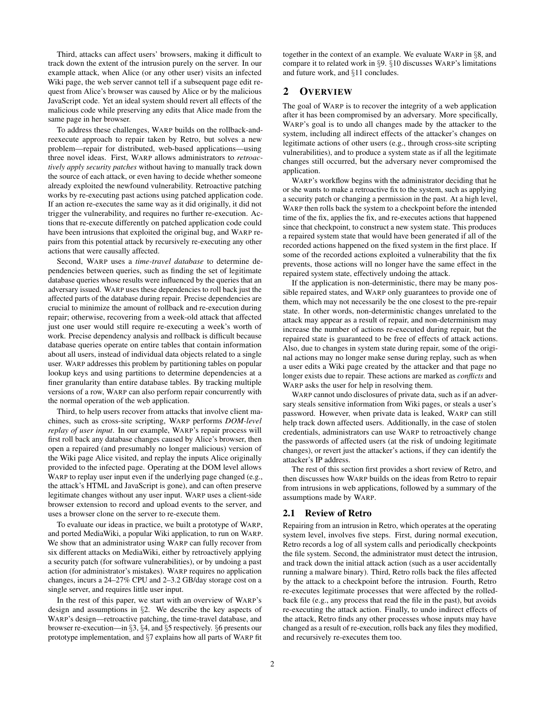Third, attacks can affect users' browsers, making it difficult to track down the extent of the intrusion purely on the server. In our example attack, when Alice (or any other user) visits an infected Wiki page, the web server cannot tell if a subsequent page edit request from Alice's browser was caused by Alice or by the malicious JavaScript code. Yet an ideal system should revert all effects of the malicious code while preserving any edits that Alice made from the same page in her browser.

To address these challenges, WARP builds on the rollback-andreexecute approach to repair taken by Retro, but solves a new problem—repair for distributed, web-based applications—using three novel ideas. First, WARP allows administrators to *retroactively apply security patches* without having to manually track down the source of each attack, or even having to decide whether someone already exploited the newfound vulnerability. Retroactive patching works by re-executing past actions using patched application code. If an action re-executes the same way as it did originally, it did not trigger the vulnerability, and requires no further re-execution. Actions that re-execute differently on patched application code could have been intrusions that exploited the original bug, and WARP repairs from this potential attack by recursively re-executing any other actions that were causally affected.

Second, WARP uses a *time-travel database* to determine dependencies between queries, such as finding the set of legitimate database queries whose results were influenced by the queries that an adversary issued. WARP uses these dependencies to roll back just the affected parts of the database during repair. Precise dependencies are crucial to minimize the amount of rollback and re-execution during repair; otherwise, recovering from a week-old attack that affected just one user would still require re-executing a week's worth of work. Precise dependency analysis and rollback is difficult because database queries operate on entire tables that contain information about all users, instead of individual data objects related to a single user. WARP addresses this problem by partitioning tables on popular lookup keys and using partitions to determine dependencies at a finer granularity than entire database tables. By tracking multiple versions of a row, WARP can also perform repair concurrently with the normal operation of the web application.

Third, to help users recover from attacks that involve client machines, such as cross-site scripting, WARP performs *DOM-level replay of user input*. In our example, WARP's repair process will first roll back any database changes caused by Alice's browser, then open a repaired (and presumably no longer malicious) version of the Wiki page Alice visited, and replay the inputs Alice originally provided to the infected page. Operating at the DOM level allows WARP to replay user input even if the underlying page changed (e.g., the attack's HTML and JavaScript is gone), and can often preserve legitimate changes without any user input. WARP uses a client-side browser extension to record and upload events to the server, and uses a browser clone on the server to re-execute them.

To evaluate our ideas in practice, we built a prototype of WARP, and ported MediaWiki, a popular Wiki application, to run on WARP. We show that an administrator using WARP can fully recover from six different attacks on MediaWiki, either by retroactively applying a security patch (for software vulnerabilities), or by undoing a past action (for administrator's mistakes). WARP requires no application changes, incurs a 24–27% CPU and 2–3.2 GB/day storage cost on a single server, and requires little user input.

In the rest of this paper, we start with an overview of WARP's design and assumptions in §[2.](#page-1-0) We describe the key aspects of WARP's design—retroactive patching, the time-travel database, and browser re-execution—in §[3,](#page-3-0) §[4,](#page-4-0) and §[5](#page-5-0) respectively. §[6](#page-7-0) presents our prototype implementation, and §[7](#page-7-1) explains how all parts of WARP fit together in the context of an example. We evaluate WARP in §[8,](#page-8-0) and compare it to related work in §[9.](#page-11-0) §[10](#page-12-0) discusses WARP's limitations and future work, and §[11](#page-12-1) concludes.

# <span id="page-1-0"></span>2 OVERVIEW

The goal of WARP is to recover the integrity of a web application after it has been compromised by an adversary. More specifically, WARP's goal is to undo all changes made by the attacker to the system, including all indirect effects of the attacker's changes on legitimate actions of other users (e.g., through cross-site scripting vulnerabilities), and to produce a system state as if all the legitimate changes still occurred, but the adversary never compromised the application.

WARP's workflow begins with the administrator deciding that he or she wants to make a retroactive fix to the system, such as applying a security patch or changing a permission in the past. At a high level, WARP then rolls back the system to a checkpoint before the intended time of the fix, applies the fix, and re-executes actions that happened since that checkpoint, to construct a new system state. This produces a repaired system state that would have been generated if all of the recorded actions happened on the fixed system in the first place. If some of the recorded actions exploited a vulnerability that the fix prevents, those actions will no longer have the same effect in the repaired system state, effectively undoing the attack.

If the application is non-deterministic, there may be many possible repaired states, and WARP only guarantees to provide one of them, which may not necessarily be the one closest to the pre-repair state. In other words, non-deterministic changes unrelated to the attack may appear as a result of repair, and non-determinism may increase the number of actions re-executed during repair, but the repaired state is guaranteed to be free of effects of attack actions. Also, due to changes in system state during repair, some of the original actions may no longer make sense during replay, such as when a user edits a Wiki page created by the attacker and that page no longer exists due to repair. These actions are marked as *conflicts* and WARP asks the user for help in resolving them.

WARP cannot undo disclosures of private data, such as if an adversary steals sensitive information from Wiki pages, or steals a user's password. However, when private data is leaked, WARP can still help track down affected users. Additionally, in the case of stolen credentials, administrators can use WARP to retroactively change the passwords of affected users (at the risk of undoing legitimate changes), or revert just the attacker's actions, if they can identify the attacker's IP address.

The rest of this section first provides a short review of Retro, and then discusses how WARP builds on the ideas from Retro to repair from intrusions in web applications, followed by a summary of the assumptions made by WARP.

# 2.1 Review of Retro

Repairing from an intrusion in Retro, which operates at the operating system level, involves five steps. First, during normal execution, Retro records a log of all system calls and periodically checkpoints the file system. Second, the administrator must detect the intrusion, and track down the initial attack action (such as a user accidentally running a malware binary). Third, Retro rolls back the files affected by the attack to a checkpoint before the intrusion. Fourth, Retro re-executes legitimate processes that were affected by the rolledback file (e.g., any process that read the file in the past), but avoids re-executing the attack action. Finally, to undo indirect effects of the attack, Retro finds any other processes whose inputs may have changed as a result of re-execution, rolls back any files they modified, and recursively re-executes them too.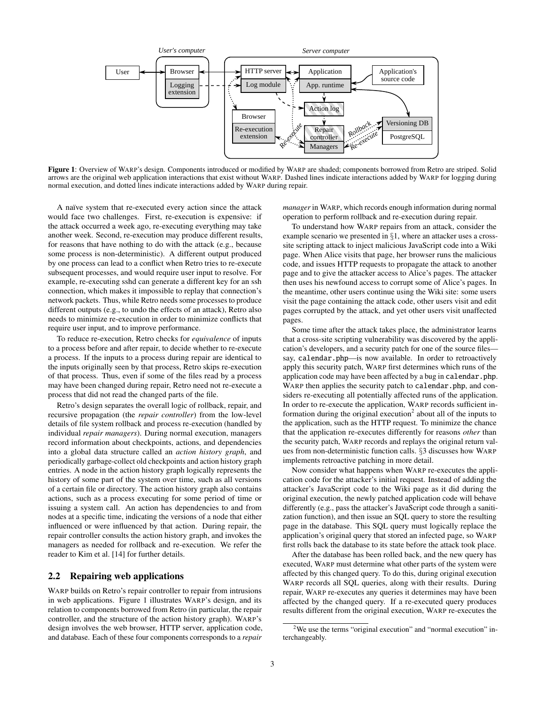

<span id="page-2-0"></span>Figure 1: Overview of WARP's design. Components introduced or modified by WARP are shaded; components borrowed from Retro are striped. Solid arrows are the original web application interactions that exist without WARP. Dashed lines indicate interactions added by WARP for logging during normal execution, and dotted lines indicate interactions added by WARP during repair.

A naïve system that re-executed every action since the attack would face two challenges. First, re-execution is expensive: if the attack occurred a week ago, re-executing everything may take another week. Second, re-execution may produce different results, for reasons that have nothing to do with the attack (e.g., because some process is non-deterministic). A different output produced by one process can lead to a conflict when Retro tries to re-execute subsequent processes, and would require user input to resolve. For example, re-executing sshd can generate a different key for an ssh connection, which makes it impossible to replay that connection's network packets. Thus, while Retro needs some processes to produce different outputs (e.g., to undo the effects of an attack), Retro also needs to minimize re-execution in order to minimize conflicts that require user input, and to improve performance.

To reduce re-execution, Retro checks for *equivalence* of inputs to a process before and after repair, to decide whether to re-execute a process. If the inputs to a process during repair are identical to the inputs originally seen by that process, Retro skips re-execution of that process. Thus, even if some of the files read by a process may have been changed during repair, Retro need not re-execute a process that did not read the changed parts of the file.

Retro's design separates the overall logic of rollback, repair, and recursive propagation (the *repair controller*) from the low-level details of file system rollback and process re-execution (handled by individual *repair managers*). During normal execution, managers record information about checkpoints, actions, and dependencies into a global data structure called an *action history graph*, and periodically garbage-collect old checkpoints and action history graph entries. A node in the action history graph logically represents the history of some part of the system over time, such as all versions of a certain file or directory. The action history graph also contains actions, such as a process executing for some period of time or issuing a system call. An action has dependencies to and from nodes at a specific time, indicating the versions of a node that either influenced or were influenced by that action. During repair, the repair controller consults the action history graph, and invokes the managers as needed for rollback and re-execution. We refer the reader to Kim et al. [\[14\]](#page-13-7) for further details.

## 2.2 Repairing web applications

WARP builds on Retro's repair controller to repair from intrusions in web applications. Figure [1](#page-2-0) illustrates WARP's design, and its relation to components borrowed from Retro (in particular, the repair controller, and the structure of the action history graph). WARP's design involves the web browser, HTTP server, application code, and database. Each of these four components corresponds to a *repair*

*manager* in WARP, which records enough information during normal operation to perform rollback and re-execution during repair.

To understand how WARP repairs from an attack, consider the example scenario we presented in §[1,](#page-0-1) where an attacker uses a crosssite scripting attack to inject malicious JavaScript code into a Wiki page. When Alice visits that page, her browser runs the malicious code, and issues HTTP requests to propagate the attack to another page and to give the attacker access to Alice's pages. The attacker then uses his newfound access to corrupt some of Alice's pages. In the meantime, other users continue using the Wiki site: some users visit the page containing the attack code, other users visit and edit pages corrupted by the attack, and yet other users visit unaffected pages.

Some time after the attack takes place, the administrator learns that a cross-site scripting vulnerability was discovered by the application's developers, and a security patch for one of the source files say, calendar.php—is now available. In order to retroactively apply this security patch, WARP first determines which runs of the application code may have been affected by a bug in calendar.php. WARP then applies the security patch to calendar.php, and considers re-executing all potentially affected runs of the application. In order to re-execute the application, WARP records sufficient in-formation during the original execution<sup>[2](#page-2-1)</sup> about all of the inputs to the application, such as the HTTP request. To minimize the chance that the application re-executes differently for reasons *other* than the security patch, WARP records and replays the original return values from non-deterministic function calls. §[3](#page-3-0) discusses how WARP implements retroactive patching in more detail.

Now consider what happens when WARP re-executes the application code for the attacker's initial request. Instead of adding the attacker's JavaScript code to the Wiki page as it did during the original execution, the newly patched application code will behave differently (e.g., pass the attacker's JavaScript code through a sanitization function), and then issue an SQL query to store the resulting page in the database. This SQL query must logically replace the application's original query that stored an infected page, so WARP first rolls back the database to its state before the attack took place.

After the database has been rolled back, and the new query has executed, WARP must determine what other parts of the system were affected by this changed query. To do this, during original execution WARP records all SQL queries, along with their results. During repair, WARP re-executes any queries it determines may have been affected by the changed query. If a re-executed query produces results different from the original execution, WARP re-executes the

<span id="page-2-1"></span><sup>2</sup>We use the terms "original execution" and "normal execution" interchangeably.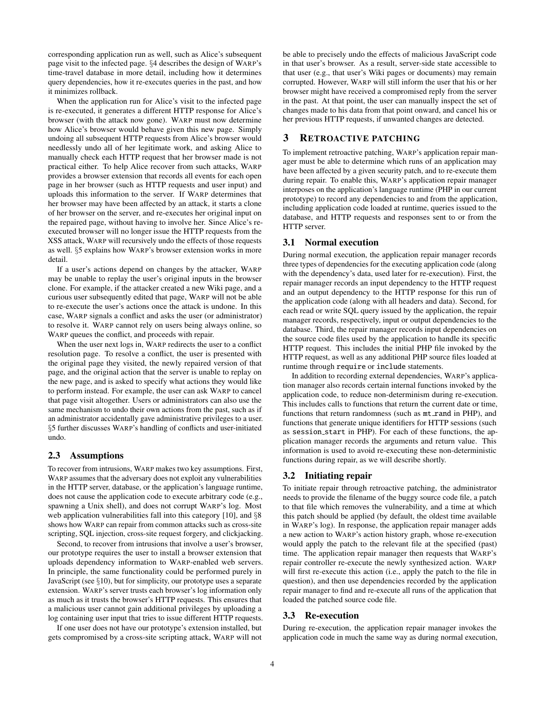corresponding application run as well, such as Alice's subsequent page visit to the infected page. §[4](#page-4-0) describes the design of WARP's time-travel database in more detail, including how it determines query dependencies, how it re-executes queries in the past, and how it minimizes rollback.

When the application run for Alice's visit to the infected page is re-executed, it generates a different HTTP response for Alice's browser (with the attack now gone). WARP must now determine how Alice's browser would behave given this new page. Simply undoing all subsequent HTTP requests from Alice's browser would needlessly undo all of her legitimate work, and asking Alice to manually check each HTTP request that her browser made is not practical either. To help Alice recover from such attacks, WARP provides a browser extension that records all events for each open page in her browser (such as HTTP requests and user input) and uploads this information to the server. If WARP determines that her browser may have been affected by an attack, it starts a clone of her browser on the server, and re-executes her original input on the repaired page, without having to involve her. Since Alice's reexecuted browser will no longer issue the HTTP requests from the XSS attack, WARP will recursively undo the effects of those requests as well. §[5](#page-5-0) explains how WARP's browser extension works in more detail.

If a user's actions depend on changes by the attacker, WARP may be unable to replay the user's original inputs in the browser clone. For example, if the attacker created a new Wiki page, and a curious user subsequently edited that page, WARP will not be able to re-execute the user's actions once the attack is undone. In this case, WARP signals a conflict and asks the user (or administrator) to resolve it. WARP cannot rely on users being always online, so WARP queues the conflict, and proceeds with repair.

When the user next logs in, WARP redirects the user to a conflict resolution page. To resolve a conflict, the user is presented with the original page they visited, the newly repaired version of that page, and the original action that the server is unable to replay on the new page, and is asked to specify what actions they would like to perform instead. For example, the user can ask WARP to cancel that page visit altogether. Users or administrators can also use the same mechanism to undo their own actions from the past, such as if an administrator accidentally gave administrative privileges to a user. §[5](#page-5-0) further discusses WARP's handling of conflicts and user-initiated undo.

# 2.3 Assumptions

To recover from intrusions, WARP makes two key assumptions. First, WARP assumes that the adversary does not exploit any vulnerabilities in the HTTP server, database, or the application's language runtime, does not cause the application code to execute arbitrary code (e.g., spawning a Unix shell), and does not corrupt WARP's log. Most web application vulnerabilities fall into this category [\[10\]](#page-13-8), and §[8](#page-8-0) shows how WARP can repair from common attacks such as cross-site scripting, SQL injection, cross-site request forgery, and clickjacking.

Second, to recover from intrusions that involve a user's browser, our prototype requires the user to install a browser extension that uploads dependency information to WARP-enabled web servers. In principle, the same functionality could be performed purely in JavaScript (see §[10\)](#page-12-0), but for simplicity, our prototype uses a separate extension. WARP's server trusts each browser's log information only as much as it trusts the browser's HTTP requests. This ensures that a malicious user cannot gain additional privileges by uploading a log containing user input that tries to issue different HTTP requests.

If one user does not have our prototype's extension installed, but gets compromised by a cross-site scripting attack, WARP will not be able to precisely undo the effects of malicious JavaScript code in that user's browser. As a result, server-side state accessible to that user (e.g., that user's Wiki pages or documents) may remain corrupted. However, WARP will still inform the user that his or her browser might have received a compromised reply from the server in the past. At that point, the user can manually inspect the set of changes made to his data from that point onward, and cancel his or her previous HTTP requests, if unwanted changes are detected.

## <span id="page-3-0"></span>3 RETROACTIVE PATCHING

To implement retroactive patching, WARP's application repair manager must be able to determine which runs of an application may have been affected by a given security patch, and to re-execute them during repair. To enable this, WARP's application repair manager interposes on the application's language runtime (PHP in our current prototype) to record any dependencies to and from the application, including application code loaded at runtime, queries issued to the database, and HTTP requests and responses sent to or from the HTTP server.

### <span id="page-3-1"></span>3.1 Normal execution

During normal execution, the application repair manager records three types of dependencies for the executing application code (along with the dependency's data, used later for re-execution). First, the repair manager records an input dependency to the HTTP request and an output dependency to the HTTP response for this run of the application code (along with all headers and data). Second, for each read or write SQL query issued by the application, the repair manager records, respectively, input or output dependencies to the database. Third, the repair manager records input dependencies on the source code files used by the application to handle its specific HTTP request. This includes the initial PHP file invoked by the HTTP request, as well as any additional PHP source files loaded at runtime through require or include statements.

In addition to recording external dependencies, WARP's application manager also records certain internal functions invoked by the application code, to reduce non-determinism during re-execution. This includes calls to functions that return the current date or time, functions that return randomness (such as  $mt$ -rand in PHP), and functions that generate unique identifiers for HTTP sessions (such as session start in PHP). For each of these functions, the application manager records the arguments and return value. This information is used to avoid re-executing these non-deterministic functions during repair, as we will describe shortly.

#### 3.2 Initiating repair

To initiate repair through retroactive patching, the administrator needs to provide the filename of the buggy source code file, a patch to that file which removes the vulnerability, and a time at which this patch should be applied (by default, the oldest time available in WARP's log). In response, the application repair manager adds a new action to WARP's action history graph, whose re-execution would apply the patch to the relevant file at the specified (past) time. The application repair manager then requests that WARP's repair controller re-execute the newly synthesized action. WARP will first re-execute this action (i.e., apply the patch to the file in question), and then use dependencies recorded by the application repair manager to find and re-execute all runs of the application that loaded the patched source code file.

### <span id="page-3-2"></span>3.3 Re-execution

During re-execution, the application repair manager invokes the application code in much the same way as during normal execution,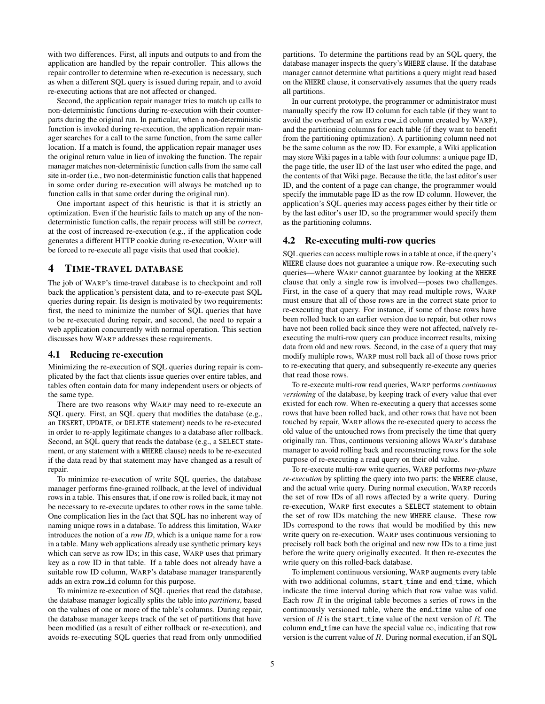with two differences. First, all inputs and outputs to and from the application are handled by the repair controller. This allows the repair controller to determine when re-execution is necessary, such as when a different SQL query is issued during repair, and to avoid re-executing actions that are not affected or changed.

Second, the application repair manager tries to match up calls to non-deterministic functions during re-execution with their counterparts during the original run. In particular, when a non-deterministic function is invoked during re-execution, the application repair manager searches for a call to the same function, from the same caller location. If a match is found, the application repair manager uses the original return value in lieu of invoking the function. The repair manager matches non-deterministic function calls from the same call site in-order (i.e., two non-deterministic function calls that happened in some order during re-execution will always be matched up to function calls in that same order during the original run).

One important aspect of this heuristic is that it is strictly an optimization. Even if the heuristic fails to match up any of the nondeterministic function calls, the repair process will still be *correct*, at the cost of increased re-execution (e.g., if the application code generates a different HTTP cookie during re-execution, WARP will be forced to re-execute all page visits that used that cookie).

# <span id="page-4-0"></span>4 TIME-TRAVEL DATABASE

The job of WARP's time-travel database is to checkpoint and roll back the application's persistent data, and to re-execute past SQL queries during repair. Its design is motivated by two requirements: first, the need to minimize the number of SQL queries that have to be re-executed during repair, and second, the need to repair a web application concurrently with normal operation. This section discusses how WARP addresses these requirements.

# 4.1 Reducing re-execution

Minimizing the re-execution of SQL queries during repair is complicated by the fact that clients issue queries over entire tables, and tables often contain data for many independent users or objects of the same type.

There are two reasons why WARP may need to re-execute an SQL query. First, an SQL query that modifies the database (e.g., an INSERT, UPDATE, or DELETE statement) needs to be re-executed in order to re-apply legitimate changes to a database after rollback. Second, an SQL query that reads the database (e.g., a SELECT statement, or any statement with a WHERE clause) needs to be re-executed if the data read by that statement may have changed as a result of repair.

To minimize re-execution of write SQL queries, the database manager performs fine-grained rollback, at the level of individual rows in a table. This ensures that, if one row is rolled back, it may not be necessary to re-execute updates to other rows in the same table. One complication lies in the fact that SQL has no inherent way of naming unique rows in a database. To address this limitation, WARP introduces the notion of a *row ID*, which is a unique name for a row in a table. Many web applications already use synthetic primary keys which can serve as row IDs; in this case, WARP uses that primary key as a row ID in that table. If a table does not already have a suitable row ID column, WARP's database manager transparently adds an extra row id column for this purpose.

To minimize re-execution of SQL queries that read the database, the database manager logically splits the table into *partitions*, based on the values of one or more of the table's columns. During repair, the database manager keeps track of the set of partitions that have been modified (as a result of either rollback or re-execution), and avoids re-executing SQL queries that read from only unmodified

partitions. To determine the partitions read by an SQL query, the database manager inspects the query's WHERE clause. If the database manager cannot determine what partitions a query might read based on the WHERE clause, it conservatively assumes that the query reads all partitions.

In our current prototype, the programmer or administrator must manually specify the row ID column for each table (if they want to avoid the overhead of an extra row id column created by WARP), and the partitioning columns for each table (if they want to benefit from the partitioning optimization). A partitioning column need not be the same column as the row ID. For example, a Wiki application may store Wiki pages in a table with four columns: a unique page ID, the page title, the user ID of the last user who edited the page, and the contents of that Wiki page. Because the title, the last editor's user ID, and the content of a page can change, the programmer would specify the immutable page ID as the row ID column. However, the application's SQL queries may access pages either by their title or by the last editor's user ID, so the programmer would specify them as the partitioning columns.

### 4.2 Re-executing multi-row queries

SQL queries can access multiple rows in a table at once, if the query's WHERE clause does not guarantee a unique row. Re-executing such queries—where WARP cannot guarantee by looking at the WHERE clause that only a single row is involved—poses two challenges. First, in the case of a query that may read multiple rows, WARP must ensure that all of those rows are in the correct state prior to re-executing that query. For instance, if some of those rows have been rolled back to an earlier version due to repair, but other rows have not been rolled back since they were not affected, naïvely reexecuting the multi-row query can produce incorrect results, mixing data from old and new rows. Second, in the case of a query that may modify multiple rows, WARP must roll back all of those rows prior to re-executing that query, and subsequently re-execute any queries that read those rows.

To re-execute multi-row read queries, WARP performs *continuous versioning* of the database, by keeping track of every value that ever existed for each row. When re-executing a query that accesses some rows that have been rolled back, and other rows that have not been touched by repair, WARP allows the re-executed query to access the old value of the untouched rows from precisely the time that query originally ran. Thus, continuous versioning allows WARP's database manager to avoid rolling back and reconstructing rows for the sole purpose of re-executing a read query on their old value.

To re-execute multi-row write queries, WARP performs *two-phase re-execution* by splitting the query into two parts: the WHERE clause, and the actual write query. During normal execution, WARP records the set of row IDs of all rows affected by a write query. During re-execution, WARP first executes a SELECT statement to obtain the set of row IDs matching the new WHERE clause. These row IDs correspond to the rows that would be modified by this new write query on re-execution. WARP uses continuous versioning to precisely roll back both the original and new row IDs to a time just before the write query originally executed. It then re-executes the write query on this rolled-back database.

To implement continuous versioning, WARP augments every table with two additional columns, start\_time and end\_time, which indicate the time interval during which that row value was valid. Each row  $R$  in the original table becomes a series of rows in the continuously versioned table, where the end\_time value of one version of  $R$  is the start time value of the next version of  $R$ . The column end time can have the special value  $\infty$ , indicating that row version is the current value of R. During normal execution, if an SQL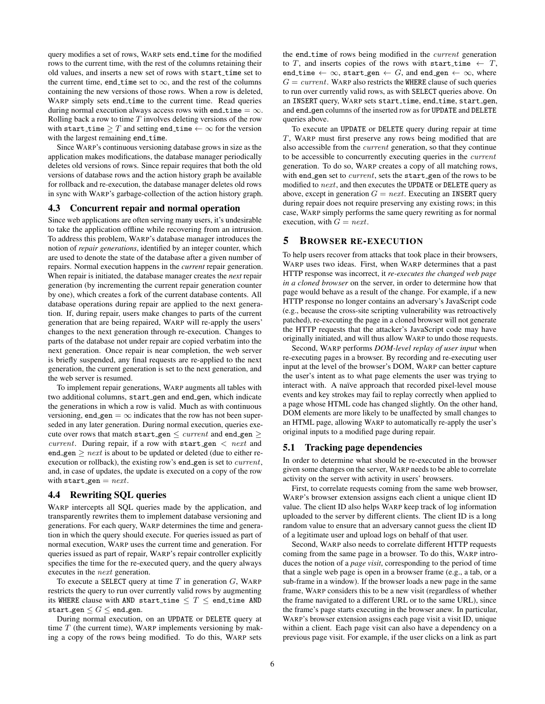query modifies a set of rows, WARP sets end\_time for the modified rows to the current time, with the rest of the columns retaining their old values, and inserts a new set of rows with start\_time set to the current time, end\_time set to  $\infty$ , and the rest of the columns containing the new versions of those rows. When a row is deleted, WARP simply sets end\_time to the current time. Read queries during normal execution always access rows with end\_time =  $\infty$ . Rolling back a row to time  $T$  involves deleting versions of the row with start\_time  $\geq T$  and setting end\_time  $\leftarrow \infty$  for the version with the largest remaining end\_time.

Since WARP's continuous versioning database grows in size as the application makes modifications, the database manager periodically deletes old versions of rows. Since repair requires that both the old versions of database rows and the action history graph be available for rollback and re-execution, the database manager deletes old rows in sync with WARP's garbage-collection of the action history graph.

### 4.3 Concurrent repair and normal operation

Since web applications are often serving many users, it's undesirable to take the application offline while recovering from an intrusion. To address this problem, WARP's database manager introduces the notion of *repair generations*, identified by an integer counter, which are used to denote the state of the database after a given number of repairs. Normal execution happens in the *current* repair generation. When repair is initiated, the database manager creates the *next* repair generation (by incrementing the current repair generation counter by one), which creates a fork of the current database contents. All database operations during repair are applied to the next generation. If, during repair, users make changes to parts of the current generation that are being repaired, WARP will re-apply the users' changes to the next generation through re-execution. Changes to parts of the database not under repair are copied verbatim into the next generation. Once repair is near completion, the web server is briefly suspended, any final requests are re-applied to the next generation, the current generation is set to the next generation, and the web server is resumed.

To implement repair generations, WARP augments all tables with two additional columns, start gen and end gen, which indicate the generations in which a row is valid. Much as with continuous versioning, end gen =  $\infty$  indicates that the row has not been superseded in any later generation. During normal execution, queries execute over rows that match start gen  $\leq$  current and end gen  $>$ current. During repair, if a row with start gen  $\langle$  next and end gen  $\ge$  *next* is about to be updated or deleted (due to either reexecution or rollback), the existing row's end gen is set to *current*, and, in case of updates, the update is executed on a copy of the row with start\_gen  $=$  next.

## 4.4 Rewriting SQL queries

WARP intercepts all SQL queries made by the application, and transparently rewrites them to implement database versioning and generations. For each query, WARP determines the time and generation in which the query should execute. For queries issued as part of normal execution, WARP uses the current time and generation. For queries issued as part of repair, WARP's repair controller explicitly specifies the time for the re-executed query, and the query always executes in the next generation.

To execute a SELECT query at time  $T$  in generation  $G$ , WARP restricts the query to run over currently valid rows by augmenting its WHERE clause with AND start\_time  $\leq T \leq$  end\_time AND start\_gen  $\leq G \leq$  end\_gen.

During normal execution, on an UPDATE or DELETE query at time  $T$  (the current time), WARP implements versioning by making a copy of the rows being modified. To do this, WARP sets

the end\_time of rows being modified in the *current* generation to T, and inserts copies of the rows with start\_time  $\leftarrow$  T, end\_time  $\leftarrow \infty$ , start\_gen  $\leftarrow G$ , and end\_gen  $\leftarrow \infty$ , where  $G = current$ . WARP also restricts the WHERE clause of such queries to run over currently valid rows, as with SELECT queries above. On an INSERT query, WARP sets start\_time, end\_time, start\_gen, and end gen columns of the inserted row as for UPDATE and DELETE queries above.

To execute an UPDATE or DELETE query during repair at time T, WARP must first preserve any rows being modified that are also accessible from the current generation, so that they continue to be accessible to concurrently executing queries in the current generation. To do so, WARP creates a copy of all matching rows, with end\_gen set to current, sets the start\_gen of the rows to be modified to next, and then executes the UPDATE or DELETE query as above, except in generation  $G = next$ . Executing an INSERT query during repair does not require preserving any existing rows; in this case, WARP simply performs the same query rewriting as for normal execution, with  $G = next$ .

### <span id="page-5-0"></span>5 BROWSER RE-EXECUTION

To help users recover from attacks that took place in their browsers, WARP uses two ideas. First, when WARP determines that a past HTTP response was incorrect, it *re-executes the changed web page in a cloned browser* on the server, in order to determine how that page would behave as a result of the change. For example, if a new HTTP response no longer contains an adversary's JavaScript code (e.g., because the cross-site scripting vulnerability was retroactively patched), re-executing the page in a cloned browser will not generate the HTTP requests that the attacker's JavaScript code may have originally initiated, and will thus allow WARP to undo those requests.

Second, WARP performs *DOM-level replay of user input* when re-executing pages in a browser. By recording and re-executing user input at the level of the browser's DOM, WARP can better capture the user's intent as to what page elements the user was trying to interact with. A naïve approach that recorded pixel-level mouse events and key strokes may fail to replay correctly when applied to a page whose HTML code has changed slightly. On the other hand, DOM elements are more likely to be unaffected by small changes to an HTML page, allowing WARP to automatically re-apply the user's original inputs to a modified page during repair.

#### <span id="page-5-1"></span>5.1 Tracking page dependencies

In order to determine what should be re-executed in the browser given some changes on the server, WARP needs to be able to correlate activity on the server with activity in users' browsers.

First, to correlate requests coming from the same web browser, WARP's browser extension assigns each client a unique client ID value. The client ID also helps WARP keep track of log information uploaded to the server by different clients. The client ID is a long random value to ensure that an adversary cannot guess the client ID of a legitimate user and upload logs on behalf of that user.

Second, WARP also needs to correlate different HTTP requests coming from the same page in a browser. To do this, WARP introduces the notion of a *page visit*, corresponding to the period of time that a single web page is open in a browser frame (e.g., a tab, or a sub-frame in a window). If the browser loads a new page in the same frame, WARP considers this to be a new visit (regardless of whether the frame navigated to a different URL or to the same URL), since the frame's page starts executing in the browser anew. In particular, WARP's browser extension assigns each page visit a visit ID, unique within a client. Each page visit can also have a dependency on a previous page visit. For example, if the user clicks on a link as part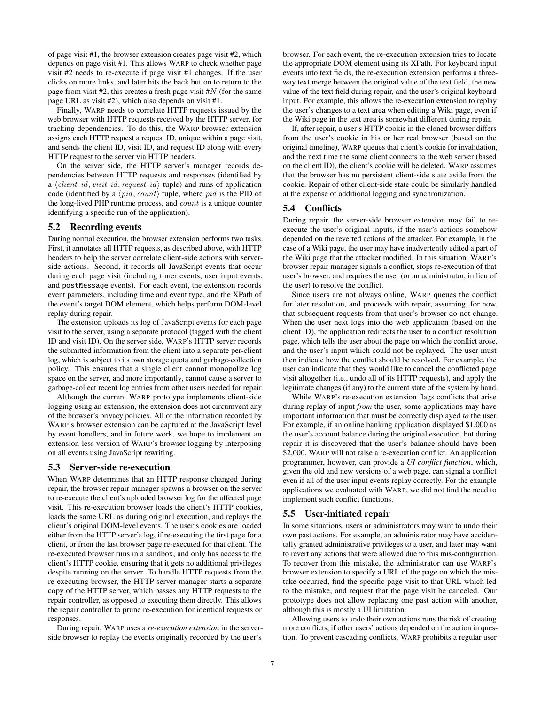of page visit #1, the browser extension creates page visit #2, which depends on page visit #1. This allows WARP to check whether page visit #2 needs to re-execute if page visit #1 changes. If the user clicks on more links, and later hits the back button to return to the page from visit #2, this creates a fresh page visit  $\#N$  (for the same page URL as visit #2), which also depends on visit #1.

Finally, WARP needs to correlate HTTP requests issued by the web browser with HTTP requests received by the HTTP server, for tracking dependencies. To do this, the WARP browser extension assigns each HTTP request a request ID, unique within a page visit, and sends the client ID, visit ID, and request ID along with every HTTP request to the server via HTTP headers.

On the server side, the HTTP server's manager records dependencies between HTTP requests and responses (identified by a  $\langle client\_id, visit\_id, request\_id \rangle$  tuple) and runs of application code (identified by a  $\langle pid, count \rangle$  tuple, where pid is the PID of the long-lived PHP runtime process, and *count* is a unique counter identifying a specific run of the application).

#### <span id="page-6-0"></span>5.2 Recording events

During normal execution, the browser extension performs two tasks. First, it annotates all HTTP requests, as described above, with HTTP headers to help the server correlate client-side actions with serverside actions. Second, it records all JavaScript events that occur during each page visit (including timer events, user input events, and postMessage events). For each event, the extension records event parameters, including time and event type, and the XPath of the event's target DOM element, which helps perform DOM-level replay during repair.

The extension uploads its log of JavaScript events for each page visit to the server, using a separate protocol (tagged with the client ID and visit ID). On the server side, WARP's HTTP server records the submitted information from the client into a separate per-client log, which is subject to its own storage quota and garbage-collection policy. This ensures that a single client cannot monopolize log space on the server, and more importantly, cannot cause a server to garbage-collect recent log entries from other users needed for repair.

Although the current WARP prototype implements client-side logging using an extension, the extension does not circumvent any of the browser's privacy policies. All of the information recorded by WARP's browser extension can be captured at the JavaScript level by event handlers, and in future work, we hope to implement an extension-less version of WARP's browser logging by interposing on all events using JavaScript rewriting.

#### <span id="page-6-1"></span>5.3 Server-side re-execution

When WARP determines that an HTTP response changed during repair, the browser repair manager spawns a browser on the server to re-execute the client's uploaded browser log for the affected page visit. This re-execution browser loads the client's HTTP cookies, loads the same URL as during original execution, and replays the client's original DOM-level events. The user's cookies are loaded either from the HTTP server's log, if re-executing the first page for a client, or from the last browser page re-executed for that client. The re-executed browser runs in a sandbox, and only has access to the client's HTTP cookie, ensuring that it gets no additional privileges despite running on the server. To handle HTTP requests from the re-executing browser, the HTTP server manager starts a separate copy of the HTTP server, which passes any HTTP requests to the repair controller, as opposed to executing them directly. This allows the repair controller to prune re-execution for identical requests or responses.

During repair, WARP uses a *re-execution extension* in the serverside browser to replay the events originally recorded by the user's

browser. For each event, the re-execution extension tries to locate the appropriate DOM element using its XPath. For keyboard input events into text fields, the re-execution extension performs a threeway text merge between the original value of the text field, the new value of the text field during repair, and the user's original keyboard input. For example, this allows the re-execution extension to replay the user's changes to a text area when editing a Wiki page, even if the Wiki page in the text area is somewhat different during repair.

If, after repair, a user's HTTP cookie in the cloned browser differs from the user's cookie in his or her real browser (based on the original timeline), WARP queues that client's cookie for invalidation, and the next time the same client connects to the web server (based on the client ID), the client's cookie will be deleted. WARP assumes that the browser has no persistent client-side state aside from the cookie. Repair of other client-side state could be similarly handled at the expense of additional logging and synchronization.

#### <span id="page-6-2"></span>5.4 Conflicts

During repair, the server-side browser extension may fail to reexecute the user's original inputs, if the user's actions somehow depended on the reverted actions of the attacker. For example, in the case of a Wiki page, the user may have inadvertently edited a part of the Wiki page that the attacker modified. In this situation, WARP's browser repair manager signals a conflict, stops re-execution of that user's browser, and requires the user (or an administrator, in lieu of the user) to resolve the conflict.

Since users are not always online, WARP queues the conflict for later resolution, and proceeds with repair, assuming, for now, that subsequent requests from that user's browser do not change. When the user next logs into the web application (based on the client ID), the application redirects the user to a conflict resolution page, which tells the user about the page on which the conflict arose, and the user's input which could not be replayed. The user must then indicate how the conflict should be resolved. For example, the user can indicate that they would like to cancel the conflicted page visit altogether (i.e., undo all of its HTTP requests), and apply the legitimate changes (if any) to the current state of the system by hand.

While WARP's re-execution extension flags conflicts that arise during replay of input *from* the user, some applications may have important information that must be correctly displayed *to* the user. For example, if an online banking application displayed \$1,000 as the user's account balance during the original execution, but during repair it is discovered that the user's balance should have been \$2,000, WARP will not raise a re-execution conflict. An application programmer, however, can provide a *UI conflict function*, which, given the old and new versions of a web page, can signal a conflict even if all of the user input events replay correctly. For the example applications we evaluated with WARP, we did not find the need to implement such conflict functions.

## 5.5 User-initiated repair

In some situations, users or administrators may want to undo their own past actions. For example, an administrator may have accidentally granted administrative privileges to a user, and later may want to revert any actions that were allowed due to this mis-configuration. To recover from this mistake, the administrator can use WARP's browser extension to specify a URL of the page on which the mistake occurred, find the specific page visit to that URL which led to the mistake, and request that the page visit be canceled. Our prototype does not allow replacing one past action with another, although this is mostly a UI limitation.

Allowing users to undo their own actions runs the risk of creating more conflicts, if other users' actions depended on the action in question. To prevent cascading conflicts, WARP prohibits a regular user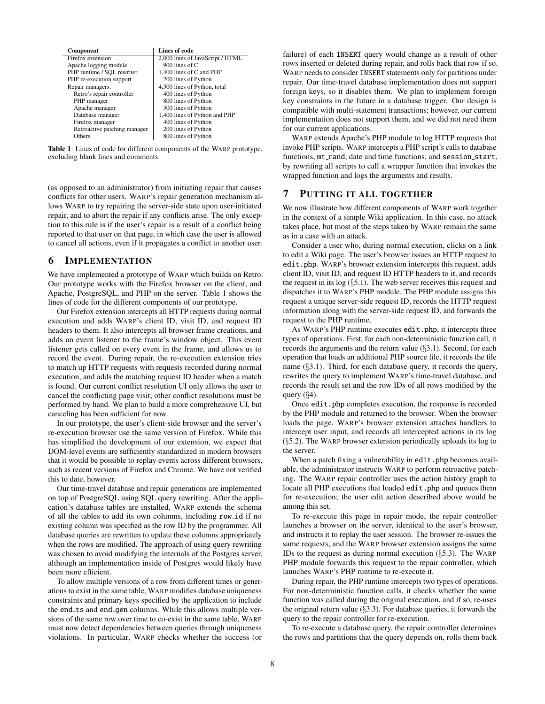| <b>Lines of code</b>             |
|----------------------------------|
| 2,000 lines of JavaScript / HTML |
| 900 lines of $C$                 |
| 1,400 lines of C and PHP         |
| 200 lines of Python              |
| 4,300 lines of Python, total     |
| 400 lines of Python              |
| 800 lines of Python              |
| 300 lines of Python              |
| 1,400 lines of Python and PHP    |
| 400 lines of Python              |
| 200 lines of Python              |
| 800 lines of Python              |
|                                  |

<span id="page-7-2"></span>Table 1: Lines of code for different components of the WARP prototype, excluding blank lines and comments.

(as opposed to an administrator) from initiating repair that causes conflicts for other users. WARP's repair generation mechanism allows WARP to try repairing the server-side state upon user-initiated repair, and to abort the repair if any conflicts arise. The only exception to this rule is if the user's repair is a result of a conflict being reported to that user on that page, in which case the user is allowed to cancel all actions, even if it propagates a conflict to another user.

## <span id="page-7-0"></span>6 IMPLEMENTATION

We have implemented a prototype of WARP which builds on Retro. Our prototype works with the Firefox browser on the client, and Apache, PostgreSQL, and PHP on the server. Table [1](#page-7-2) shows the lines of code for the different components of our prototype.

Our Firefox extension intercepts all HTTP requests during normal execution and adds WARP's client ID, visit ID, and request ID headers to them. It also intercepts all browser frame creations, and adds an event listener to the frame's window object. This event listener gets called on every event in the frame, and allows us to record the event. During repair, the re-execution extension tries to match up HTTP requests with requests recorded during normal execution, and adds the matching request ID header when a match is found. Our current conflict resolution UI only allows the user to cancel the conflicting page visit; other conflict resolutions must be performed by hand. We plan to build a more comprehensive UI, but canceling has been sufficient for now.

In our prototype, the user's client-side browser and the server's re-execution browser use the same version of Firefox. While this has simplified the development of our extension, we expect that DOM-level events are sufficiently standardized in modern browsers that it would be possible to replay events across different browsers, such as recent versions of Firefox and Chrome. We have not verified this to date, however.

Our time-travel database and repair generations are implemented on top of PostgreSQL using SQL query rewriting. After the application's database tables are installed, WARP extends the schema of all the tables to add its own columns, including row id if no existing column was specified as the row ID by the programmer. All database queries are rewritten to update these columns appropriately when the rows are modified. The approach of using query rewriting was chosen to avoid modifying the internals of the Postgres server, although an implementation inside of Postgres would likely have been more efficient.

To allow multiple versions of a row from different times or generations to exist in the same table, WARP modifies database uniqueness constraints and primary keys specified by the application to include the end\_ts and end\_gen columns. While this allows multiple versions of the same row over time to co-exist in the same table, WARP must now detect dependencies between queries through uniqueness violations. In particular, WARP checks whether the success (or

failure) of each INSERT query would change as a result of other rows inserted or deleted during repair, and rolls back that row if so. WARP needs to consider INSERT statements only for partitions under repair. Our time-travel database implementation does not support foreign keys, so it disables them. We plan to implement foreign key constraints in the future in a database trigger. Our design is compatible with multi-statement transactions; however, our current implementation does not support them, and we did not need them for our current applications.

WARP extends Apache's PHP module to log HTTP requests that invoke PHP scripts. WARP intercepts a PHP script's calls to database functions,  $mt\_rand$ , date and time functions, and session\_start, by rewriting all scripts to call a wrapper function that invokes the wrapped function and logs the arguments and results.

#### <span id="page-7-1"></span>7 PUTTING IT ALL TOGETHER

We now illustrate how different components of WARP work together in the context of a simple Wiki application. In this case, no attack takes place, but most of the steps taken by WARP remain the same as in a case with an attack.

Consider a user who, during normal execution, clicks on a link to edit a Wiki page. The user's browser issues an HTTP request to edit.php. WARP's browser extension intercepts this request, adds client ID, visit ID, and request ID HTTP headers to it, and records the request in its log  $(\S 5.1)$  $(\S 5.1)$ . The web server receives this request and dispatches it to WARP's PHP module. The PHP module assigns this request a unique server-side request ID, records the HTTP request information along with the server-side request ID, and forwards the request to the PHP runtime.

As WARP's PHP runtime executes edit.php, it intercepts three types of operations. First, for each non-deterministic function call, it records the arguments and the return value (§[3.1\)](#page-3-1). Second, for each operation that loads an additional PHP source file, it records the file name (§[3.1\)](#page-3-1). Third, for each database query, it records the query, rewrites the query to implement WARP's time-travel database, and records the result set and the row IDs of all rows modified by the query  $(\S4)$  $(\S4)$ .

Once edit.php completes execution, the response is recorded by the PHP module and returned to the browser. When the browser loads the page, WARP's browser extension attaches handlers to intercept user input, and records all intercepted actions in its log (§[5.2\)](#page-6-0). The WARP browser extension periodically uploads its log to the server.

When a patch fixing a vulnerability in edit.php becomes available, the administrator instructs WARP to perform retroactive patching. The WARP repair controller uses the action history graph to locate all PHP executions that loaded edit.php and queues them for re-execution; the user edit action described above would be among this set.

To re-execute this page in repair mode, the repair controller launches a browser on the server, identical to the user's browser, and instructs it to replay the user session. The browser re-issues the same requests, and the WARP browser extension assigns the same IDs to the request as during normal execution (§[5.3\)](#page-6-1). The WARP PHP module forwards this request to the repair controller, which launches WARP's PHP runtime to re-execute it.

During repair, the PHP runtime intercepts two types of operations. For non-deterministic function calls, it checks whether the same function was called during the original execution, and if so, re-uses the original return value (§[3.3\)](#page-3-2). For database queries, it forwards the query to the repair controller for re-execution.

To re-execute a database query, the repair controller determines the rows and partitions that the query depends on, rolls them back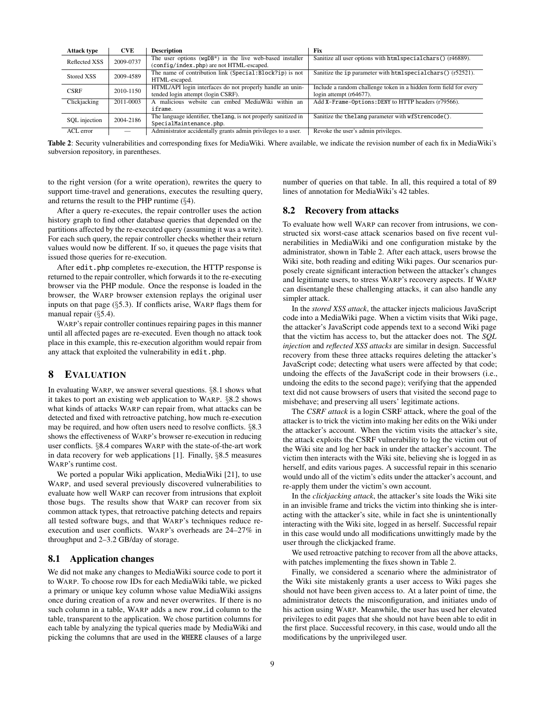| Attack type                | <b>CVE</b> | <b>Description</b>                                              | Fix                                                               |
|----------------------------|------------|-----------------------------------------------------------------|-------------------------------------------------------------------|
| 2009-0737<br>Reflected XSS |            | The user options $(wgDB*)$ in the live web-based installer      | Sanitize all user options with html special chars () (r46889).    |
|                            |            | (config/index.php) are not HTML-escaped.                        |                                                                   |
| Stored XSS                 | 2009-4589  | The name of contribution link (Special:Block?ip) is not         | Sanitize the ip parameter with htmlspecial chars () (r52521).     |
|                            |            | HTML-escaped.                                                   |                                                                   |
| <b>CSRF</b>                | 2010-1150  | HTML/API login interfaces do not properly handle an unin-       | Include a random challenge token in a hidden form field for every |
|                            |            | tended login attempt (login CSRF).                              | login attempt $(r64677)$ .                                        |
| Clickjacking               | 2011-0003  | A malicious website can embed MediaWiki within an               | Add X-Frame-Options: DENY to HTTP headers (r79566).               |
|                            |            | iframe.                                                         |                                                                   |
| SOL injection              | 2004-2186  | The language identifier, the lang, is not properly sanitized in | Sanitize the the lang parameter with wf Strencode ().             |
|                            |            | SpecialMaintenance.php.                                         |                                                                   |
| ACL error                  |            | Administrator accidentally grants admin privileges to a user.   | Revoke the user's admin privileges.                               |

<span id="page-8-3"></span>Table 2: Security vulnerabilities and corresponding fixes for MediaWiki. Where available, we indicate the revision number of each fix in MediaWiki's subversion repository, in parentheses.

to the right version (for a write operation), rewrites the query to support time-travel and generations, executes the resulting query, and returns the result to the PHP runtime (§[4\)](#page-4-0).

After a query re-executes, the repair controller uses the action history graph to find other database queries that depended on the partitions affected by the re-executed query (assuming it was a write). For each such query, the repair controller checks whether their return values would now be different. If so, it queues the page visits that issued those queries for re-execution.

After edit.php completes re-execution, the HTTP response is returned to the repair controller, which forwards it to the re-executing browser via the PHP module. Once the response is loaded in the browser, the WARP browser extension replays the original user inputs on that page  $(\S 5.3)$  $(\S 5.3)$ . If conflicts arise, WARP flags them for manual repair (§[5.4\)](#page-6-2).

WARP's repair controller continues repairing pages in this manner until all affected pages are re-executed. Even though no attack took place in this example, this re-execution algorithm would repair from any attack that exploited the vulnerability in edit.php.

# <span id="page-8-0"></span>8 EVALUATION

In evaluating WARP, we answer several questions. §[8.1](#page-8-1) shows what it takes to port an existing web application to WARP. §[8.2](#page-8-2) shows what kinds of attacks WARP can repair from, what attacks can be detected and fixed with retroactive patching, how much re-execution may be required, and how often users need to resolve conflicts. §[8.3](#page-9-0) shows the effectiveness of WARP's browser re-execution in reducing user conflicts. §[8.4](#page-9-1) compares WARP with the state-of-the-art work in data recovery for web applications [\[1\]](#page-13-9). Finally, §[8.5](#page-10-0) measures WARP's runtime cost.

We ported a popular Wiki application, MediaWiki [\[21\]](#page-13-10), to use WARP, and used several previously discovered vulnerabilities to evaluate how well WARP can recover from intrusions that exploit those bugs. The results show that WARP can recover from six common attack types, that retroactive patching detects and repairs all tested software bugs, and that WARP's techniques reduce reexecution and user conflicts. WARP's overheads are 24–27% in throughput and 2–3.2 GB/day of storage.

#### <span id="page-8-1"></span>8.1 Application changes

We did not make any changes to MediaWiki source code to port it to WARP. To choose row IDs for each MediaWiki table, we picked a primary or unique key column whose value MediaWiki assigns once during creation of a row and never overwrites. If there is no such column in a table, WARP adds a new row id column to the table, transparent to the application. We chose partition columns for each table by analyzing the typical queries made by MediaWiki and picking the columns that are used in the WHERE clauses of a large

number of queries on that table. In all, this required a total of 89 lines of annotation for MediaWiki's 42 tables.

## <span id="page-8-2"></span>8.2 Recovery from attacks

To evaluate how well WARP can recover from intrusions, we constructed six worst-case attack scenarios based on five recent vulnerabilities in MediaWiki and one configuration mistake by the administrator, shown in Table [2.](#page-8-3) After each attack, users browse the Wiki site, both reading and editing Wiki pages. Our scenarios purposely create significant interaction between the attacker's changes and legitimate users, to stress WARP's recovery aspects. If WARP can disentangle these challenging attacks, it can also handle any simpler attack.

In the *stored XSS attack*, the attacker injects malicious JavaScript code into a MediaWiki page. When a victim visits that Wiki page, the attacker's JavaScript code appends text to a second Wiki page that the victim has access to, but the attacker does not. The *SQL injection* and *reflected XSS attacks* are similar in design. Successful recovery from these three attacks requires deleting the attacker's JavaScript code; detecting what users were affected by that code; undoing the effects of the JavaScript code in their browsers (i.e., undoing the edits to the second page); verifying that the appended text did not cause browsers of users that visited the second page to misbehave; and preserving all users' legitimate actions.

The *CSRF attack* is a login CSRF attack, where the goal of the attacker is to trick the victim into making her edits on the Wiki under the attacker's account. When the victim visits the attacker's site, the attack exploits the CSRF vulnerability to log the victim out of the Wiki site and log her back in under the attacker's account. The victim then interacts with the Wiki site, believing she is logged in as herself, and edits various pages. A successful repair in this scenario would undo all of the victim's edits under the attacker's account, and re-apply them under the victim's own account.

In the *clickjacking attack*, the attacker's site loads the Wiki site in an invisible frame and tricks the victim into thinking she is interacting with the attacker's site, while in fact she is unintentionally interacting with the Wiki site, logged in as herself. Successful repair in this case would undo all modifications unwittingly made by the user through the clickjacked frame.

We used retroactive patching to recover from all the above attacks, with patches implementing the fixes shown in Table [2.](#page-8-3)

Finally, we considered a scenario where the administrator of the Wiki site mistakenly grants a user access to Wiki pages she should not have been given access to. At a later point of time, the administrator detects the misconfiguration, and initiates undo of his action using WARP. Meanwhile, the user has used her elevated privileges to edit pages that she should not have been able to edit in the first place. Successful recovery, in this case, would undo all the modifications by the unprivileged user.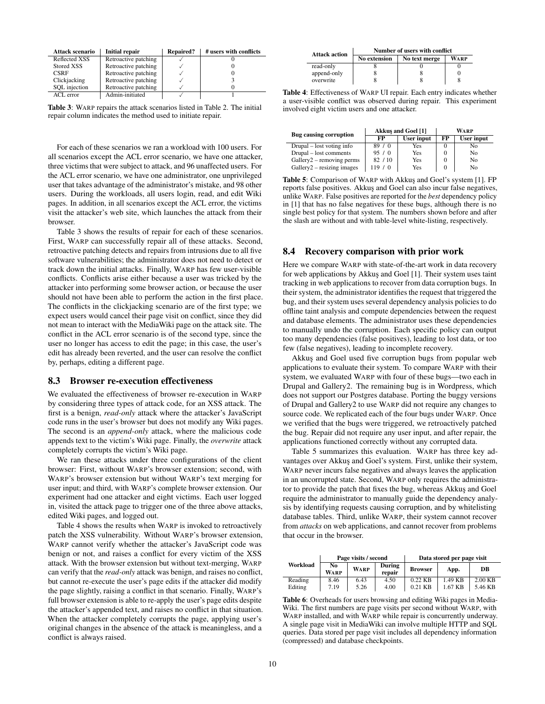| <b>Attack scenario</b> | <b>Initial repair</b> | <b>Repaired?</b> | # users with conflicts |
|------------------------|-----------------------|------------------|------------------------|
| Reflected XSS          | Retroactive patching  |                  |                        |
| Stored XSS             | Retroactive patching  |                  |                        |
| <b>CSRF</b>            | Retroactive patching  |                  |                        |
| Clickjacking           | Retroactive patching  |                  |                        |
| SQL injection          | Retroactive patching  |                  |                        |
| ACL error              | Admin-initiated       |                  |                        |
|                        |                       |                  |                        |

<span id="page-9-2"></span>Table 3: WARP repairs the attack scenarios listed in Table [2.](#page-8-3) The initial repair column indicates the method used to initiate repair.

For each of these scenarios we ran a workload with 100 users. For all scenarios except the ACL error scenario, we have one attacker, three victims that were subject to attack, and 96 unaffected users. For the ACL error scenario, we have one administrator, one unprivileged user that takes advantage of the administrator's mistake, and 98 other users. During the workloads, all users login, read, and edit Wiki pages. In addition, in all scenarios except the ACL error, the victims visit the attacker's web site, which launches the attack from their browser.

Table [3](#page-9-2) shows the results of repair for each of these scenarios. First, WARP can successfully repair all of these attacks. Second, retroactive patching detects and repairs from intrusions due to all five software vulnerabilities; the administrator does not need to detect or track down the initial attacks. Finally, WARP has few user-visible conflicts. Conflicts arise either because a user was tricked by the attacker into performing some browser action, or because the user should not have been able to perform the action in the first place. The conflicts in the clickjacking scenario are of the first type; we expect users would cancel their page visit on conflict, since they did not mean to interact with the MediaWiki page on the attack site. The conflict in the ACL error scenario is of the second type, since the user no longer has access to edit the page; in this case, the user's edit has already been reverted, and the user can resolve the conflict by, perhaps, editing a different page.

## <span id="page-9-0"></span>8.3 Browser re-execution effectiveness

We evaluated the effectiveness of browser re-execution in WARP by considering three types of attack code, for an XSS attack. The first is a benign, *read-only* attack where the attacker's JavaScript code runs in the user's browser but does not modify any Wiki pages. The second is an *append-only* attack, where the malicious code appends text to the victim's Wiki page. Finally, the *overwrite* attack completely corrupts the victim's Wiki page.

We ran these attacks under three configurations of the client browser: First, without WARP's browser extension; second, with WARP's browser extension but without WARP's text merging for user input; and third, with WARP's complete browser extension. Our experiment had one attacker and eight victims. Each user logged in, visited the attack page to trigger one of the three above attacks, edited Wiki pages, and logged out.

Table [4](#page-9-3) shows the results when WARP is invoked to retroactively patch the XSS vulnerability. Without WARP's browser extension, WARP cannot verify whether the attacker's JavaScript code was benign or not, and raises a conflict for every victim of the XSS attack. With the browser extension but without text-merging, WARP can verify that the *read-only* attack was benign, and raises no conflict, but cannot re-execute the user's page edits if the attacker did modify the page slightly, raising a conflict in that scenario. Finally, WARP's full browser extension is able to re-apply the user's page edits despite the attacker's appended text, and raises no conflict in that situation. When the attacker completely corrupts the page, applying user's original changes in the absence of the attack is meaningless, and a conflict is always raised.

| <b>Attack action</b> | Number of users with conflict |               |             |  |  |  |  |  |
|----------------------|-------------------------------|---------------|-------------|--|--|--|--|--|
|                      | <b>No extension</b>           | No text merge | <b>WARP</b> |  |  |  |  |  |
| read-only            |                               |               |             |  |  |  |  |  |
| append-only          |                               |               |             |  |  |  |  |  |
| overwrite            |                               |               |             |  |  |  |  |  |

<span id="page-9-3"></span>Table 4: Effectiveness of WARP UI repair. Each entry indicates whether a user-visible conflict was observed during repair. This experiment involved eight victim users and one attacker.

| Bug causing corruption                 |       | Akkuş and Goel [1] | WARP |                   |  |
|----------------------------------------|-------|--------------------|------|-------------------|--|
|                                        | FP    | <b>User input</b>  | FP   | <b>User input</b> |  |
| Drupal – lost voting info              | 89/0  | Yes                |      | No                |  |
| Drupal – lost comments                 | 95/0  | Yes                |      | N <sub>0</sub>    |  |
| $Gallery2 - removing perms$            | 82/10 | Yes                |      | No                |  |
| Gallery <sub>2</sub> – resizing images | 119/0 | Yes                |      | No                |  |

<span id="page-9-4"></span>Table 5: Comparison of WARP with Akkuş and Goel's system [\[1\]](#page-13-9). FP reports false positives. Akkuş and Goel can also incur false negatives, unlike WARP. False positives are reported for the *best* dependency policy in [\[1\]](#page-13-9) that has no false negatives for these bugs, although there is no single best policy for that system. The numbers shown before and after the slash are without and with table-level white-listing, respectively.

# <span id="page-9-1"></span>8.4 Recovery comparison with prior work

Here we compare WARP with state-of-the-art work in data recovery for web applications by Akkuş and Goel [\[1\]](#page-13-9). Their system uses taint tracking in web applications to recover from data corruption bugs. In their system, the administrator identifies the request that triggered the bug, and their system uses several dependency analysis policies to do offline taint analysis and compute dependencies between the request and database elements. The administrator uses these dependencies to manually undo the corruption. Each specific policy can output too many dependencies (false positives), leading to lost data, or too few (false negatives), leading to incomplete recovery.

Akkus and Goel used five corruption bugs from popular web applications to evaluate their system. To compare WARP with their system, we evaluated WARP with four of these bugs—two each in Drupal and Gallery2. The remaining bug is in Wordpress, which does not support our Postgres database. Porting the buggy versions of Drupal and Gallery2 to use WARP did not require any changes to source code. We replicated each of the four bugs under WARP. Once we verified that the bugs were triggered, we retroactively patched the bug. Repair did not require any user input, and after repair, the applications functioned correctly without any corrupted data.

Table [5](#page-9-4) summarizes this evaluation. WARP has three key advantages over Akkus and Goel's system. First, unlike their system, WARP never incurs false negatives and always leaves the application in an uncorrupted state. Second, WARP only requires the administrator to provide the patch that fixes the bug, whereas Akkuş and Goel require the administrator to manually guide the dependency analysis by identifying requests causing corruption, and by whitelisting database tables. Third, unlike WARP, their system cannot recover from *attacks* on web applications, and cannot recover from problems that occur in the browser.

| Workload           |                                              | Page visits / second |                  | Data stored per page visit |                    |                      |  |  |  |
|--------------------|----------------------------------------------|----------------------|------------------|----------------------------|--------------------|----------------------|--|--|--|
|                    | N <sub>0</sub><br><b>WARP</b><br><b>WARP</b> |                      | During<br>repair | <b>Browser</b>             | App.               | DB                   |  |  |  |
| Reading<br>Editing | 8.46<br>7.19                                 | 6.43<br>5.26         | 4.50<br>4.00     | $0.22$ KB<br>$0.21$ KB     | 1.49 KB<br>1.67 KB | $2.00$ KB<br>5.46 KB |  |  |  |

<span id="page-9-5"></span>Table 6: Overheads for users browsing and editing Wiki pages in Media-Wiki. The first numbers are page visits per second without WARP, with WARP installed, and with WARP while repair is concurrently underway. A single page visit in MediaWiki can involve multiple HTTP and SQL queries. Data stored per page visit includes all dependency information (compressed) and database checkpoints.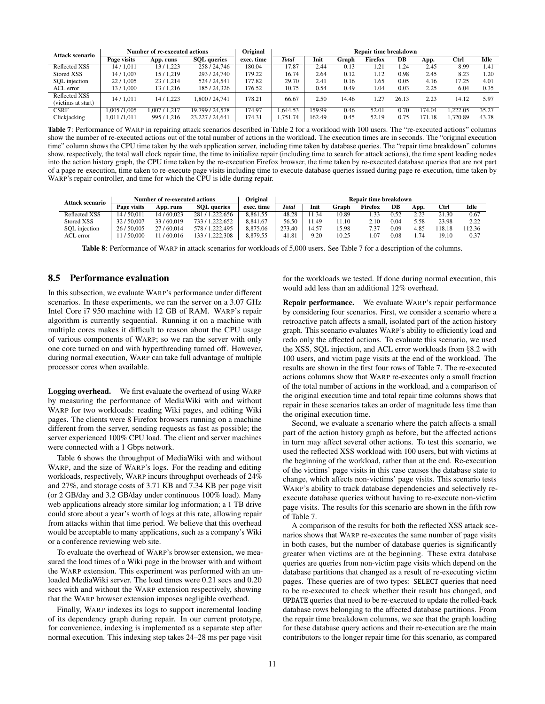| Attack scenario    | Number of re-executed actions | Original    | Repair time breakdown |            |              |        |       |         |       |        |          |       |
|--------------------|-------------------------------|-------------|-----------------------|------------|--------------|--------|-------|---------|-------|--------|----------|-------|
|                    | Page visits                   | App. runs   | <b>SOL</b> queries    | exec. time | <b>Total</b> | Init   | Graph | Firefox | DB    | App.   | Ctrl     | Idle  |
| Reflected XSS      | 14 / 1.011                    | 13/1.223    | 258/24.746            | 180.04     | 17.87        | 2.44   | 0.13  | . .21   | .24   | 2.45   | 8.99     | 1.41  |
| <b>Stored XSS</b>  | 14 / 1.007                    | 15/1.219    | 293/24.740            | 179.22     | 16.74        | 2.64   | 0.12  | 1.12    | 0.98  | 2.45   | 8.23     | 1.20  |
| SQL injection      | 22/1.005                      | 23/1.214    | 524/24.541            | 177.82     | 29.70        | 2.41   | 0.16  | 1.65    | 0.05  | 4.16   | 17.25    | 4.01  |
| ACL error          | 13/1.000                      | 13/1.216    | 185/24.326            | 176.52     | 10.75        | 0.54   | 0.49  | 1.04    | 0.03  | 2.25   | 6.04     | 0.35  |
| Reflected XSS      | 14/1.011                      | 14/1.223    | 1.800/24.741          | 178.21     | 66.67        | 2.50   | 14.46 | .27     | 26.13 | 2.23   | 14.12    | 5.97  |
| (victims at start) |                               |             |                       |            |              |        |       |         |       |        |          |       |
| <b>CSRF</b>        | 1.005 /1.005                  | 1.007/1.217 | 19,799 / 24,578       | 174.97     | 1.644.53     | 159.99 | 0.46  | 52.01   | 0.70  | 174.04 | 1.222.05 | 35.27 |
| Clickjacking       | 1.011 /1.011                  | 995/1,216   | 23.227 / 24.641       | 174.31     | 1.751.74     | 162.49 | 0.45  | 52.19   | 0.75  | 171.18 | 1,320.89 | 43.78 |

<span id="page-10-1"></span>Table 7: Performance of WARP in repairing attack scenarios described in Table [2](#page-8-3) for a workload with 100 users. The "re-executed actions" columns show the number of re-executed actions out of the total number of actions in the workload. The execution times are in seconds. The "original execution time" column shows the CPU time taken by the web application server, including time taken by database queries. The "repair time breakdown" columns show, respectively, the total wall clock repair time, the time to initialize repair (including time to search for attack actions), the time spent loading nodes into the action history graph, the CPU time taken by the re-execution Firefox browser, the time taken by re-executed database queries that are not part of a page re-execution, time taken to re-execute page visits including time to execute database queries issued during page re-execution, time taken by WARP's repair controller, and time for which the CPU is idle during repair.

| <b>Attack scenario</b> | Number of re-executed actions |           |                    | Original   | Repair time breakdown |       |       |         |      |        |       |        |
|------------------------|-------------------------------|-----------|--------------------|------------|-----------------------|-------|-------|---------|------|--------|-------|--------|
|                        | Page visits                   | App. runs | <b>SOL</b> queries | exec. time | <b>Total</b>          | Init  | Graph | Firefox | DB   | App.   | Ctrl  | Idle   |
| Reflected XSS          | 14/50.011                     | 14/60.023 | 281/1.222.656      | 8.861.55   | 48.28                 | 11.34 | 10.89 | . 33    | 0.52 | 2.23   | 21.30 | 0.67   |
| Stored XSS             | 32/50.007                     | 33/60.019 | 733 / 1.222,652    | 8.841.67   | 56.50                 | 11.49 | 11.10 | 2.10    | 0.04 | 5.58   | 23.98 | 2.22   |
| SOL injection          | 26/50.005                     | 27/60.014 | 578 / 1.222,495    | 8,875.06   | 273.40                | 14.57 | 15.98 | 7.37    | 0.09 | 4.85   | 18.18 | 112.36 |
| ACL error              | /50,000                       | 11/60.016 | 133/1.222.308      | 8.879.55   | 41.81                 | 9.20  | 10.25 | .07     | 0.08 | . . 74 | 19.10 | 0.37   |

<span id="page-10-2"></span>Table 8: Performance of WARP in attack scenarios for workloads of 5,000 users. See Table [7](#page-10-1) for a description of the columns.

# <span id="page-10-0"></span>8.5 Performance evaluation

In this subsection, we evaluate WARP's performance under different scenarios. In these experiments, we ran the server on a 3.07 GHz Intel Core i7 950 machine with 12 GB of RAM. WARP's repair algorithm is currently sequential. Running it on a machine with multiple cores makes it difficult to reason about the CPU usage of various components of WARP; so we ran the server with only one core turned on and with hyperthreading turned off. However, during normal execution, WARP can take full advantage of multiple processor cores when available.

Logging overhead. We first evaluate the overhead of using WARP by measuring the performance of MediaWiki with and without WARP for two workloads: reading Wiki pages, and editing Wiki pages. The clients were 8 Firefox browsers running on a machine different from the server, sending requests as fast as possible; the server experienced 100% CPU load. The client and server machines were connected with a 1 Gbps network.

Table [6](#page-9-5) shows the throughput of MediaWiki with and without WARP, and the size of WARP's logs. For the reading and editing workloads, respectively, WARP incurs throughput overheads of 24% and 27%, and storage costs of 3.71 KB and 7.34 KB per page visit (or 2 GB/day and 3.2 GB/day under continuous 100% load). Many web applications already store similar log information; a 1 TB drive could store about a year's worth of logs at this rate, allowing repair from attacks within that time period. We believe that this overhead would be acceptable to many applications, such as a company's Wiki or a conference reviewing web site.

To evaluate the overhead of WARP's browser extension, we measured the load times of a Wiki page in the browser with and without the WARP extension. This experiment was performed with an unloaded MediaWiki server. The load times were 0.21 secs and 0.20 secs with and without the WARP extension respectively, showing that the WARP browser extension imposes negligible overhead.

Finally, WARP indexes its logs to support incremental loading of its dependency graph during repair. In our current prototype, for convenience, indexing is implemented as a separate step after normal execution. This indexing step takes 24–28 ms per page visit

for the workloads we tested. If done during normal execution, this would add less than an additional 12% overhead.

Repair performance. We evaluate WARP's repair performance by considering four scenarios. First, we consider a scenario where a retroactive patch affects a small, isolated part of the action history graph. This scenario evaluates WARP's ability to efficiently load and redo only the affected actions. To evaluate this scenario, we used the XSS, SQL injection, and ACL error workloads from §[8.2](#page-8-2) with 100 users, and victim page visits at the end of the workload. The results are shown in the first four rows of Table [7.](#page-10-1) The re-executed actions columns show that WARP re-executes only a small fraction of the total number of actions in the workload, and a comparison of the original execution time and total repair time columns shows that repair in these scenarios takes an order of magnitude less time than the original execution time.

Second, we evaluate a scenario where the patch affects a small part of the action history graph as before, but the affected actions in turn may affect several other actions. To test this scenario, we used the reflected XSS workload with 100 users, but with victims at the beginning of the workload, rather than at the end. Re-execution of the victims' page visits in this case causes the database state to change, which affects non-victims' page visits. This scenario tests WARP's ability to track database dependencies and selectively reexecute database queries without having to re-execute non-victim page visits. The results for this scenario are shown in the fifth row of Table [7.](#page-10-1)

A comparison of the results for both the reflected XSS attack scenarios shows that WARP re-executes the same number of page visits in both cases, but the number of database queries is significantly greater when victims are at the beginning. These extra database queries are queries from non-victim page visits which depend on the database partitions that changed as a result of re-executing victim pages. These queries are of two types: SELECT queries that need to be re-executed to check whether their result has changed, and UPDATE queries that need to be re-executed to update the rolled-back database rows belonging to the affected database partitions. From the repair time breakdown columns, we see that the graph loading for these database query actions and their re-execution are the main contributors to the longer repair time for this scenario, as compared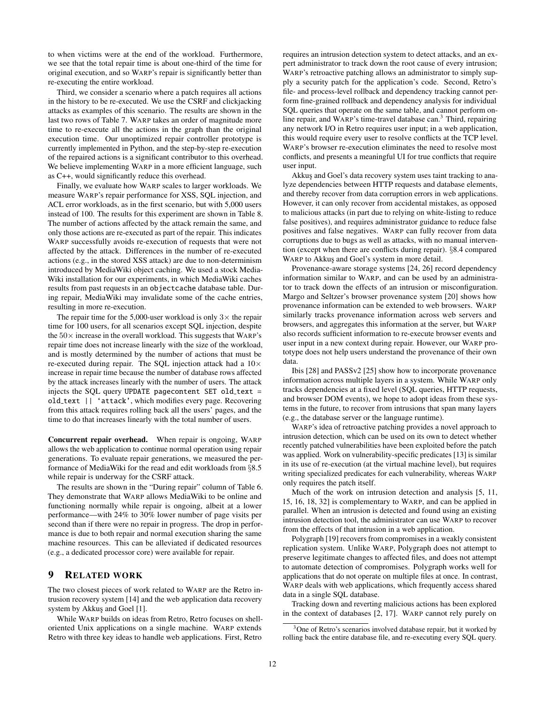to when victims were at the end of the workload. Furthermore, we see that the total repair time is about one-third of the time for original execution, and so WARP's repair is significantly better than re-executing the entire workload.

Third, we consider a scenario where a patch requires all actions in the history to be re-executed. We use the CSRF and clickjacking attacks as examples of this scenario. The results are shown in the last two rows of Table [7.](#page-10-1) WARP takes an order of magnitude more time to re-execute all the actions in the graph than the original execution time. Our unoptimized repair controller prototype is currently implemented in Python, and the step-by-step re-execution of the repaired actions is a significant contributor to this overhead. We believe implementing WARP in a more efficient language, such as C++, would significantly reduce this overhead.

Finally, we evaluate how WARP scales to larger workloads. We measure WARP's repair performance for XSS, SQL injection, and ACL error workloads, as in the first scenario, but with 5,000 users instead of 100. The results for this experiment are shown in Table [8.](#page-10-2) The number of actions affected by the attack remain the same, and only those actions are re-executed as part of the repair. This indicates WARP successfully avoids re-execution of requests that were not affected by the attack. Differences in the number of re-executed actions (e.g., in the stored XSS attack) are due to non-determinism introduced by MediaWiki object caching. We used a stock Media-Wiki installation for our experiments, in which MediaWiki caches results from past requests in an objectcache database table. During repair, MediaWiki may invalidate some of the cache entries, resulting in more re-execution.

The repair time for the 5,000-user workload is only  $3\times$  the repair time for 100 users, for all scenarios except SQL injection, despite the  $50\times$  increase in the overall workload. This suggests that WARP's repair time does not increase linearly with the size of the workload, and is mostly determined by the number of actions that must be re-executed during repair. The SQL injection attack had a 10× increase in repair time because the number of database rows affected by the attack increases linearly with the number of users. The attack injects the SQL query UPDATE pagecontent SET old\_text = old text || 'attack', which modifies every page. Recovering from this attack requires rolling back all the users' pages, and the time to do that increases linearly with the total number of users.

Concurrent repair overhead. When repair is ongoing, WARP allows the web application to continue normal operation using repair generations. To evaluate repair generations, we measured the performance of MediaWiki for the read and edit workloads from §[8.5](#page-10-0) while repair is underway for the CSRF attack.

The results are shown in the "During repair" column of Table [6.](#page-9-5) They demonstrate that WARP allows MediaWiki to be online and functioning normally while repair is ongoing, albeit at a lower performance—with 24% to 30% lower number of page visits per second than if there were no repair in progress. The drop in performance is due to both repair and normal execution sharing the same machine resources. This can be alleviated if dedicated resources (e.g., a dedicated processor core) were available for repair.

# <span id="page-11-0"></span>9 RELATED WORK

The two closest pieces of work related to WARP are the Retro intrusion recovery system [\[14\]](#page-13-7) and the web application data recovery system by Akkuş and Goel [\[1\]](#page-13-9).

While WARP builds on ideas from Retro, Retro focuses on shelloriented Unix applications on a single machine. WARP extends Retro with three key ideas to handle web applications. First, Retro requires an intrusion detection system to detect attacks, and an expert administrator to track down the root cause of every intrusion; WARP's retroactive patching allows an administrator to simply supply a security patch for the application's code. Second, Retro's file- and process-level rollback and dependency tracking cannot perform fine-grained rollback and dependency analysis for individual SQL queries that operate on the same table, and cannot perform on-line repair, and WARP's time-travel database can.<sup>[3](#page-11-1)</sup> Third, repairing any network I/O in Retro requires user input; in a web application, this would require every user to resolve conflicts at the TCP level. WARP's browser re-execution eliminates the need to resolve most conflicts, and presents a meaningful UI for true conflicts that require user input.

Akkuş and Goel's data recovery system uses taint tracking to analyze dependencies between HTTP requests and database elements, and thereby recover from data corruption errors in web applications. However, it can only recover from accidental mistakes, as opposed to malicious attacks (in part due to relying on white-listing to reduce false positives), and requires administrator guidance to reduce false positives and false negatives. WARP can fully recover from data corruptions due to bugs as well as attacks, with no manual intervention (except when there are conflicts during repair). §[8.4](#page-9-1) compared WARP to Akkuş and Goel's system in more detail.

Provenance-aware storage systems [\[24,](#page-13-11) [26\]](#page-13-12) record dependency information similar to WARP, and can be used by an administrator to track down the effects of an intrusion or misconfiguration. Margo and Seltzer's browser provenance system [\[20\]](#page-13-13) shows how provenance information can be extended to web browsers. WARP similarly tracks provenance information across web servers and browsers, and aggregates this information at the server, but WARP also records sufficient information to re-execute browser events and user input in a new context during repair. However, our WARP prototype does not help users understand the provenance of their own data.

Ibis [\[28\]](#page-13-14) and PASSv2 [\[25\]](#page-13-15) show how to incorporate provenance information across multiple layers in a system. While WARP only tracks dependencies at a fixed level (SQL queries, HTTP requests, and browser DOM events), we hope to adopt ideas from these systems in the future, to recover from intrusions that span many layers (e.g., the database server or the language runtime).

WARP's idea of retroactive patching provides a novel approach to intrusion detection, which can be used on its own to detect whether recently patched vulnerabilities have been exploited before the patch was applied. Work on vulnerability-specific predicates [\[13\]](#page-13-16) is similar in its use of re-execution (at the virtual machine level), but requires writing specialized predicates for each vulnerability, whereas WARP only requires the patch itself.

Much of the work on intrusion detection and analysis [\[5,](#page-13-17) [11,](#page-13-18) [15,](#page-13-19) [16,](#page-13-20) [18,](#page-13-21) [32\]](#page-13-22) is complementary to WARP, and can be applied in parallel. When an intrusion is detected and found using an existing intrusion detection tool, the administrator can use WARP to recover from the effects of that intrusion in a web application.

Polygraph [\[19\]](#page-13-23) recovers from compromises in a weakly consistent replication system. Unlike WARP, Polygraph does not attempt to preserve legitimate changes to affected files, and does not attempt to automate detection of compromises. Polygraph works well for applications that do not operate on multiple files at once. In contrast, WARP deals with web applications, which frequently access shared data in a single SQL database.

Tracking down and reverting malicious actions has been explored in the context of databases [\[2,](#page-13-24) [17\]](#page-13-25). WARP cannot rely purely on

<span id="page-11-1"></span><sup>&</sup>lt;sup>3</sup>One of Retro's scenarios involved database repair, but it worked by rolling back the entire database file, and re-executing every SQL query.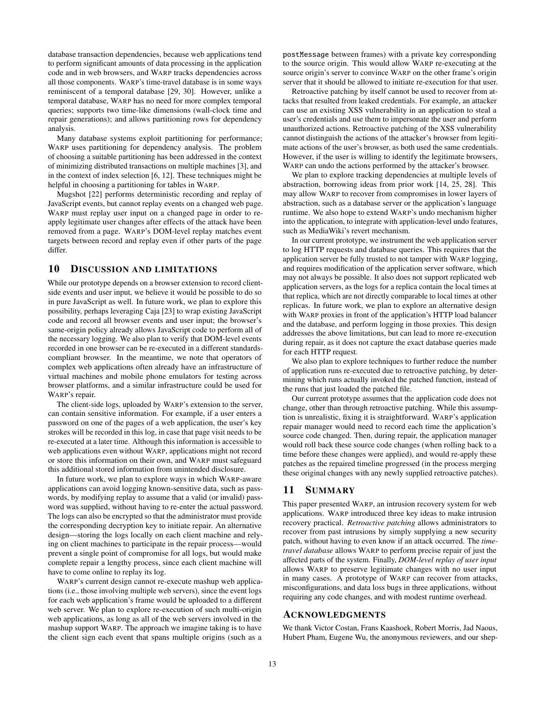database transaction dependencies, because web applications tend to perform significant amounts of data processing in the application code and in web browsers, and WARP tracks dependencies across all those components. WARP's time-travel database is in some ways reminiscent of a temporal database [\[29,](#page-13-26) [30\]](#page-13-27). However, unlike a temporal database, WARP has no need for more complex temporal queries; supports two time-like dimensions (wall-clock time and repair generations); and allows partitioning rows for dependency analysis.

Many database systems exploit partitioning for performance; WARP uses partitioning for dependency analysis. The problem of choosing a suitable partitioning has been addressed in the context of minimizing distributed transactions on multiple machines [\[3\]](#page-13-28), and in the context of index selection [\[6,](#page-13-29) [12\]](#page-13-30). These techniques might be helpful in choosing a partitioning for tables in WARP.

Mugshot [\[22\]](#page-13-31) performs deterministic recording and replay of JavaScript events, but cannot replay events on a changed web page. WARP must replay user input on a changed page in order to reapply legitimate user changes after effects of the attack have been removed from a page. WARP's DOM-level replay matches event targets between record and replay even if other parts of the page differ.

#### <span id="page-12-0"></span>10 DISCUSSION AND LIMITATIONS

While our prototype depends on a browser extension to record clientside events and user input, we believe it would be possible to do so in pure JavaScript as well. In future work, we plan to explore this possibility, perhaps leveraging Caja [\[23\]](#page-13-32) to wrap existing JavaScript code and record all browser events and user input; the browser's same-origin policy already allows JavaScript code to perform all of the necessary logging. We also plan to verify that DOM-level events recorded in one browser can be re-executed in a different standardscompliant browser. In the meantime, we note that operators of complex web applications often already have an infrastructure of virtual machines and mobile phone emulators for testing across browser platforms, and a similar infrastructure could be used for WARP's repair.

The client-side logs, uploaded by WARP's extension to the server, can contain sensitive information. For example, if a user enters a password on one of the pages of a web application, the user's key strokes will be recorded in this log, in case that page visit needs to be re-executed at a later time. Although this information is accessible to web applications even without WARP, applications might not record or store this information on their own, and WARP must safeguard this additional stored information from unintended disclosure.

In future work, we plan to explore ways in which WARP-aware applications can avoid logging known-sensitive data, such as passwords, by modifying replay to assume that a valid (or invalid) password was supplied, without having to re-enter the actual password. The logs can also be encrypted so that the administrator must provide the corresponding decryption key to initiate repair. An alternative design—storing the logs locally on each client machine and relying on client machines to participate in the repair process—would prevent a single point of compromise for all logs, but would make complete repair a lengthy process, since each client machine will have to come online to replay its log.

WARP's current design cannot re-execute mashup web applications (i.e., those involving multiple web servers), since the event logs for each web application's frame would be uploaded to a different web server. We plan to explore re-execution of such multi-origin web applications, as long as all of the web servers involved in the mashup support WARP. The approach we imagine taking is to have the client sign each event that spans multiple origins (such as a

postMessage between frames) with a private key corresponding to the source origin. This would allow WARP re-executing at the source origin's server to convince WARP on the other frame's origin server that it should be allowed to initiate re-execution for that user.

Retroactive patching by itself cannot be used to recover from attacks that resulted from leaked credentials. For example, an attacker can use an existing XSS vulnerability in an application to steal a user's credentials and use them to impersonate the user and perform unauthorized actions. Retroactive patching of the XSS vulnerability cannot distinguish the actions of the attacker's browser from legitimate actions of the user's browser, as both used the same credentials. However, if the user is willing to identify the legitimate browsers, WARP can undo the actions performed by the attacker's browser.

We plan to explore tracking dependencies at multiple levels of abstraction, borrowing ideas from prior work [\[14,](#page-13-7) [25,](#page-13-15) [28\]](#page-13-14). This may allow WARP to recover from compromises in lower layers of abstraction, such as a database server or the application's language runtime. We also hope to extend WARP's undo mechanism higher into the application, to integrate with application-level undo features, such as MediaWiki's revert mechanism.

In our current prototype, we instrument the web application server to log HTTP requests and database queries. This requires that the application server be fully trusted to not tamper with WARP logging, and requires modification of the application server software, which may not always be possible. It also does not support replicated web application servers, as the logs for a replica contain the local times at that replica, which are not directly comparable to local times at other replicas. In future work, we plan to explore an alternative design with WARP proxies in front of the application's HTTP load balancer and the database, and perform logging in those proxies. This design addresses the above limitations, but can lead to more re-execution during repair, as it does not capture the exact database queries made for each HTTP request.

We also plan to explore techniques to further reduce the number of application runs re-executed due to retroactive patching, by determining which runs actually invoked the patched function, instead of the runs that just loaded the patched file.

Our current prototype assumes that the application code does not change, other than through retroactive patching. While this assumption is unrealistic, fixing it is straightforward. WARP's application repair manager would need to record each time the application's source code changed. Then, during repair, the application manager would roll back these source code changes (when rolling back to a time before these changes were applied), and would re-apply these patches as the repaired timeline progressed (in the process merging these original changes with any newly supplied retroactive patches).

#### <span id="page-12-1"></span>11 SUMMARY

This paper presented WARP, an intrusion recovery system for web applications. WARP introduced three key ideas to make intrusion recovery practical. *Retroactive patching* allows administrators to recover from past intrusions by simply supplying a new security patch, without having to even know if an attack occurred. The *timetravel database* allows WARP to perform precise repair of just the affected parts of the system. Finally, *DOM-level replay of user input* allows WARP to preserve legitimate changes with no user input in many cases. A prototype of WARP can recover from attacks, misconfigurations, and data loss bugs in three applications, without requiring any code changes, and with modest runtime overhead.

# ACKNOWLEDGMENTS

We thank Victor Costan, Frans Kaashoek, Robert Morris, Jad Naous, Hubert Pham, Eugene Wu, the anonymous reviewers, and our shep